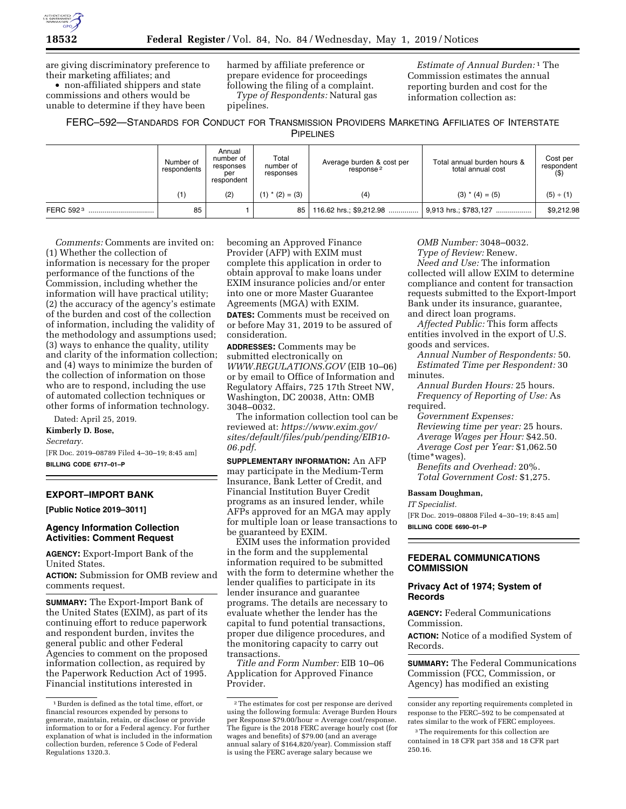

are giving discriminatory preference to their marketing affiliates; and • non-affiliated shippers and state

commissions and others would be unable to determine if they have been harmed by affiliate preference or prepare evidence for proceedings following the filing of a complaint. *Type of Respondents:* Natural gas pipelines.

*Estimate of Annual Burden:* 1 The Commission estimates the annual reporting burden and cost for the information collection as:

# FERC–592—STANDARDS FOR CONDUCT FOR TRANSMISSION PROVIDERS MARKETING AFFILIATES OF INTERSTATE

**PIPELINES** 

|           | Number of<br>respondents | Annual<br>number of<br>responses<br>per<br>respondent | Total<br>number of<br>responses | Average burden & cost per<br>response <sup>2</sup> | Total annual burden hours &<br>total annual cost | Cost per<br>respondent<br>$($ \$) |
|-----------|--------------------------|-------------------------------------------------------|---------------------------------|----------------------------------------------------|--------------------------------------------------|-----------------------------------|
|           |                          | (2)                                                   | $(1)$ * $(2) = (3)$             | (4)                                                | $(3)$ * $(4) = (5)$                              | (5) ÷ (1)                         |
| FERC 5923 | 85                       |                                                       | 85                              | 116.62 hrs.; \$9,212.98                            | 9,913 hrs.; \$783,127                            | \$9,212.98                        |

*Comments:* Comments are invited on: (1) Whether the collection of information is necessary for the proper performance of the functions of the Commission, including whether the information will have practical utility; (2) the accuracy of the agency's estimate of the burden and cost of the collection of information, including the validity of the methodology and assumptions used; (3) ways to enhance the quality, utility and clarity of the information collection; and (4) ways to minimize the burden of the collection of information on those who are to respond, including the use of automated collection techniques or other forms of information technology.

Dated: April 25, 2019.

**Kimberly D. Bose,** 

*Secretary.* 

[FR Doc. 2019–08789 Filed 4–30–19; 8:45 am] **BILLING CODE 6717–01–P** 

## **EXPORT–IMPORT BANK**

**[Public Notice 2019–3011]** 

## **Agency Information Collection Activities: Comment Request**

**AGENCY:** Export-Import Bank of the United States.

**ACTION:** Submission for OMB review and comments request.

**SUMMARY:** The Export-Import Bank of the United States (EXIM), as part of its continuing effort to reduce paperwork and respondent burden, invites the general public and other Federal Agencies to comment on the proposed information collection, as required by the Paperwork Reduction Act of 1995. Financial institutions interested in

becoming an Approved Finance Provider (AFP) with EXIM must complete this application in order to obtain approval to make loans under EXIM insurance policies and/or enter into one or more Master Guarantee Agreements (MGA) with EXIM.

**DATES:** Comments must be received on or before May 31, 2019 to be assured of consideration.

**ADDRESSES:** Comments may be submitted electronically on *[WWW.REGULATIONS.GOV](http://WWW.REGULATIONS.GOV)* (EIB 10–06) or by email to Office of Information and Regulatory Affairs, 725 17th Street NW, Washington, DC 20038, Attn: OMB 3048–0032.

The information collection tool can be reviewed at: *[https://www.exim.gov/](https://www.exim.gov/sites/default/files/pub/pending/EIB10-06.pdf)  [sites/default/files/pub/pending/EIB10-](https://www.exim.gov/sites/default/files/pub/pending/EIB10-06.pdf) [06.pdf](https://www.exim.gov/sites/default/files/pub/pending/EIB10-06.pdf)*.

**SUPPLEMENTARY INFORMATION:** An AFP may participate in the Medium-Term Insurance, Bank Letter of Credit, and Financial Institution Buyer Credit programs as an insured lender, while AFPs approved for an MGA may apply for multiple loan or lease transactions to be guaranteed by EXIM.

EXIM uses the information provided in the form and the supplemental information required to be submitted with the form to determine whether the lender qualifies to participate in its lender insurance and guarantee programs. The details are necessary to evaluate whether the lender has the capital to fund potential transactions, proper due diligence procedures, and the monitoring capacity to carry out transactions.

*Title and Form Number:* EIB 10–06 Application for Approved Finance Provider.

*OMB Number:* 3048–0032.

*Type of Review:* Renew. *Need and Use:* The information collected will allow EXIM to determine compliance and content for transaction requests submitted to the Export-Import Bank under its insurance, guarantee, and direct loan programs.

*Affected Public:* This form affects entities involved in the export of U.S. goods and services.

*Annual Number of Respondents:* 50. *Estimated Time per Respondent:* 30 minutes.

*Annual Burden Hours:* 25 hours. *Frequency of Reporting of Use:* As required.

*Government Expenses: Reviewing time per year:* 25 hours. *Average Wages per Hour:* \$42.50. *Average Cost per Year:* \$1,062.50

(time\*wages).

*Benefits and Overhead:* 20%. *Total Government Cost:* \$1,275.

## **Bassam Doughman,**

*IT Specialist.* 

[FR Doc. 2019–08808 Filed 4–30–19; 8:45 am] **BILLING CODE 6690–01–P** 

## **FEDERAL COMMUNICATIONS COMMISSION**

## **Privacy Act of 1974; System of Records**

**AGENCY:** Federal Communications Commission.

**ACTION:** Notice of a modified System of Records.

**SUMMARY:** The Federal Communications Commission (FCC, Commission, or Agency) has modified an existing

<sup>1</sup>Burden is defined as the total time, effort, or financial resources expended by persons to generate, maintain, retain, or disclose or provide information to or for a Federal agency. For further explanation of what is included in the information collection burden, reference 5 Code of Federal Regulations 1320.3.

<sup>2</sup>The estimates for cost per response are derived using the following formula: Average Burden Hours per Response \$79.00/hour = Average cost/response. The figure is the 2018 FERC average hourly cost (for wages and benefits) of \$79.00 (and an average annual salary of \$164,820/year). Commission staff is using the FERC average salary because we

consider any reporting requirements completed in response to the FERC–592 to be compensated at rates similar to the work of FERC employees.

<sup>3</sup>The requirements for this collection are contained in 18 CFR part 358 and 18 CFR part 250.16.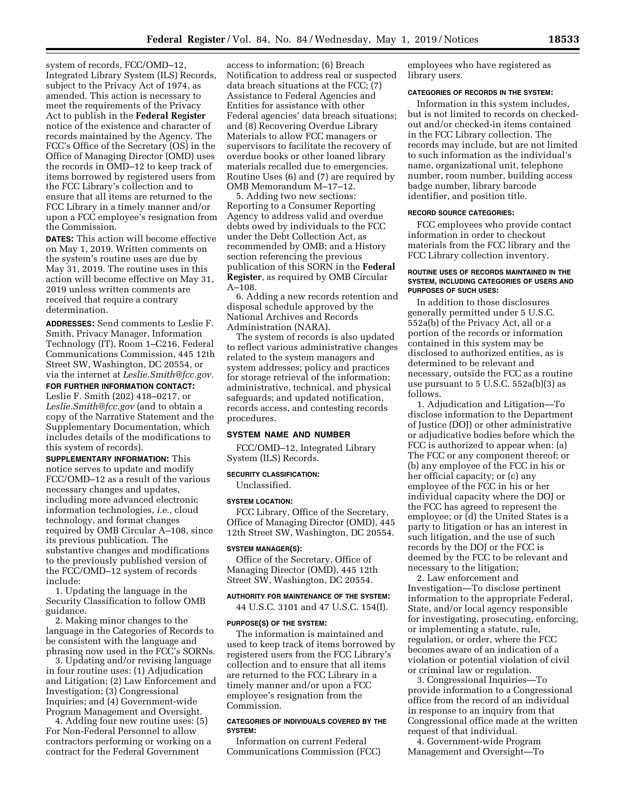system of records, FCC/OMD–12, Integrated Library System (ILS) Records, subject to the Privacy Act of 1974, as amended. This action is necessary to meet the requirements of the Privacy Act to publish in the **Federal Register**  notice of the existence and character of records maintained by the Agency. The FCC's Office of the Secretary (OS) in the Office of Managing Director (OMD) uses the records in OMD–12 to keep track of items borrowed by registered users from the FCC Library's collection and to ensure that all items are returned to the FCC Library in a timely manner and/or upon a FCC employee's resignation from the Commission.

**DATES:** This action will become effective on May 1, 2019. Written comments on the system's routine uses are due by May 31, 2019. The routine uses in this action will become effective on May 31, 2019 unless written comments are received that require a contrary determination.

**ADDRESSES:** Send comments to Leslie F. Smith, Privacy Manager, Information Technology (IT), Room 1–C216, Federal Communications Commission, 445 12th Street SW, Washington, DC 20554, or via the internet at *[Leslie.Smith@fcc.gov.](mailto:Leslie.Smith@fcc.gov)* 

**FOR FURTHER INFORMATION CONTACT:**  Leslie F. Smith (202) 418–0217, or *[Leslie.Smith@fcc.gov](mailto:Leslie.Smith@fcc.gov)* (and to obtain a copy of the Narrative Statement and the Supplementary Documentation, which includes details of the modifications to this system of records).

**SUPPLEMENTARY INFORMATION:** This notice serves to update and modify FCC/OMD–12 as a result of the various necessary changes and updates, including more advanced electronic information technologies, *i.e.,* cloud technology, and format changes required by OMB Circular A–108, since its previous publication. The substantive changes and modifications to the previously published version of the FCC/OMD–12 system of records include:

1. Updating the language in the Security Classification to follow OMB guidance.

2. Making minor changes to the language in the Categories of Records to be consistent with the language and phrasing now used in the FCC's SORNs.

3. Updating and/or revising language in four routine uses: (1) Adjudication and Litigation; (2) Law Enforcement and Investigation; (3) Congressional Inquiries; and (4) Government-wide Program Management and Oversight.

4. Adding four new routine uses: (5) For Non-Federal Personnel to allow contractors performing or working on a contract for the Federal Government

access to information; (6) Breach Notification to address real or suspected data breach situations at the FCC; (7) Assistance to Federal Agencies and Entities for assistance with other Federal agencies' data breach situations; and (8) Recovering Overdue Library Materials to allow FCC managers or supervisors to facilitate the recovery of overdue books or other loaned library materials recalled due to emergencies. Routine Uses (6) and (7) are required by OMB Memorandum M–17–12.

5. Adding two new sections: Reporting to a Consumer Reporting Agency to address valid and overdue debts owed by individuals to the FCC under the Debt Collection Act, as recommended by OMB; and a History section referencing the previous publication of this SORN in the **Federal Register**, as required by OMB Circular A–108.

6. Adding a new records retention and disposal schedule approved by the National Archives and Records Administration (NARA).

The system of records is also updated to reflect various administrative changes related to the system managers and system addresses; policy and practices for storage retrieval of the information; administrative, technical, and physical safeguards; and updated notification, records access, and contesting records procedures.

#### **SYSTEM NAME AND NUMBER**

FCC/OMD–12, Integrated Library System (ILS) Records.

## **SECURITY CLASSIFICATION:**

# Unclassified. **SYSTEM LOCATION:**

FCC Library, Office of the Secretary, Office of Managing Director (OMD), 445 12th Street SW, Washington, DC 20554.

#### **SYSTEM MANAGER(S):**

Office of the Secretary, Office of Managing Director (OMD), 445 12th Street SW, Washington, DC 20554.

## **AUTHORITY FOR MAINTENANCE OF THE SYSTEM:**

44 U.S.C. 3101 and 47 U.S.C. 154(I).

#### **PURPOSE(S) OF THE SYSTEM:**

The information is maintained and used to keep track of items borrowed by registered users from the FCC Library's collection and to ensure that all items are returned to the FCC Library in a timely manner and/or upon a FCC employee's resignation from the Commission.

## **CATEGORIES OF INDIVIDUALS COVERED BY THE SYSTEM:**

Information on current Federal Communications Commission (FCC)

employees who have registered as library users.

#### **CATEGORIES OF RECORDS IN THE SYSTEM:**

Information in this system includes, but is not limited to records on checkedout and/or checked-in items contained in the FCC Library collection. The records may include, but are not limited to such information as the individual's name, organizational unit, telephone number, room number, building access badge number, library barcode identifier, and position title.

## **RECORD SOURCE CATEGORIES:**

FCC employees who provide contact information in order to checkout materials from the FCC library and the FCC Library collection inventory.

#### **ROUTINE USES OF RECORDS MAINTAINED IN THE SYSTEM, INCLUDING CATEGORIES OF USERS AND PURPOSES OF SUCH USES:**

In addition to those disclosures generally permitted under 5 U.S.C. 552a(b) of the Privacy Act, all or a portion of the records or information contained in this system may be disclosed to authorized entities, as is determined to be relevant and necessary, outside the FCC as a routine use pursuant to 5 U.S.C. 552a(b)(3) as follows.

1. Adjudication and Litigation—To disclose information to the Department of Justice (DOJ) or other administrative or adjudicative bodies before which the FCC is authorized to appear when: (a) The FCC or any component thereof; or (b) any employee of the FCC in his or her official capacity; or (c) any employee of the FCC in his or her individual capacity where the DOJ or the FCC has agreed to represent the employee; or (d) the United States is a party to litigation or has an interest in such litigation, and the use of such records by the DOJ or the FCC is deemed by the FCC to be relevant and necessary to the litigation;

2. Law enforcement and Investigation—To disclose pertinent information to the appropriate Federal, State, and/or local agency responsible for investigating, prosecuting, enforcing, or implementing a statute, rule, regulation, or order, where the FCC becomes aware of an indication of a violation or potential violation of civil or criminal law or regulation.

3. Congressional Inquiries—To provide information to a Congressional office from the record of an individual in response to an inquiry from that Congressional office made at the written request of that individual.

4. Government-wide Program Management and Oversight—To